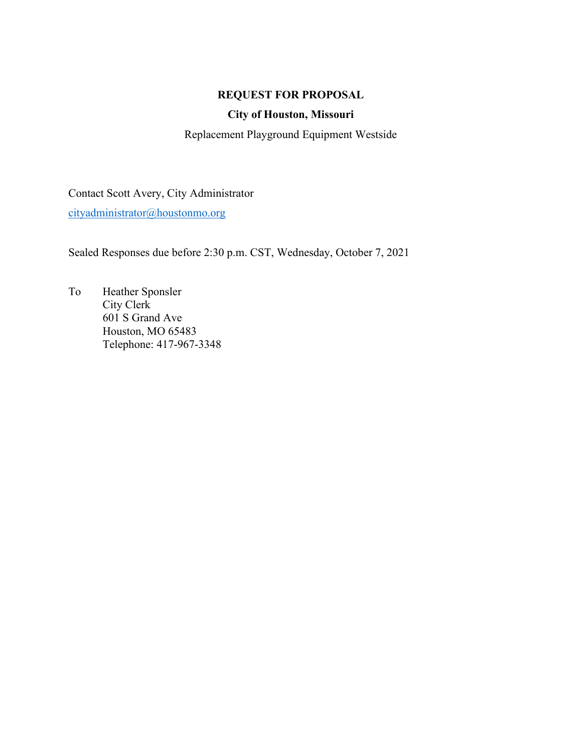## **REQUEST FOR PROPOSAL**

## **City of Houston, Missouri**

Replacement Playground Equipment Westside

Contact Scott Avery, City Administrator [cityadministrator@houstonmo.org](mailto:cityadministrator@houstonmo.org)

Sealed Responses due before 2:30 p.m. CST, Wednesday, October 7, 2021

To Heather Sponsler City Clerk 601 S Grand Ave Houston, MO 65483 Telephone: 417-967-3348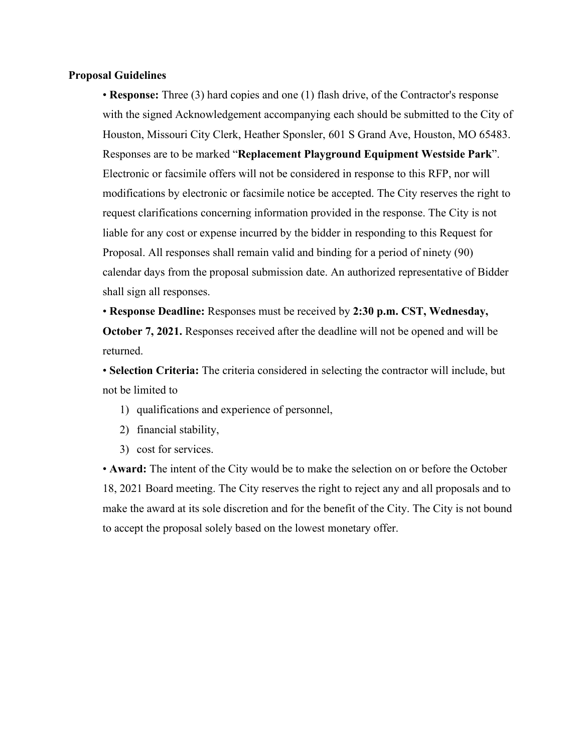#### **Proposal Guidelines**

• **Response:** Three (3) hard copies and one (1) flash drive, of the Contractor's response with the signed Acknowledgement accompanying each should be submitted to the City of Houston, Missouri City Clerk, Heather Sponsler, 601 S Grand Ave, Houston, MO 65483. Responses are to be marked "**Replacement Playground Equipment Westside Park**". Electronic or facsimile offers will not be considered in response to this RFP, nor will modifications by electronic or facsimile notice be accepted. The City reserves the right to request clarifications concerning information provided in the response. The City is not liable for any cost or expense incurred by the bidder in responding to this Request for Proposal. All responses shall remain valid and binding for a period of ninety (90) calendar days from the proposal submission date. An authorized representative of Bidder shall sign all responses.

• **Response Deadline:** Responses must be received by **2:30 p.m. CST, Wednesday, October 7, 2021.** Responses received after the deadline will not be opened and will be returned.

• **Selection Criteria:** The criteria considered in selecting the contractor will include, but not be limited to

- 1) qualifications and experience of personnel,
- 2) financial stability,
- 3) cost for services.

• **Award:** The intent of the City would be to make the selection on or before the October 18, 2021 Board meeting. The City reserves the right to reject any and all proposals and to make the award at its sole discretion and for the benefit of the City. The City is not bound to accept the proposal solely based on the lowest monetary offer.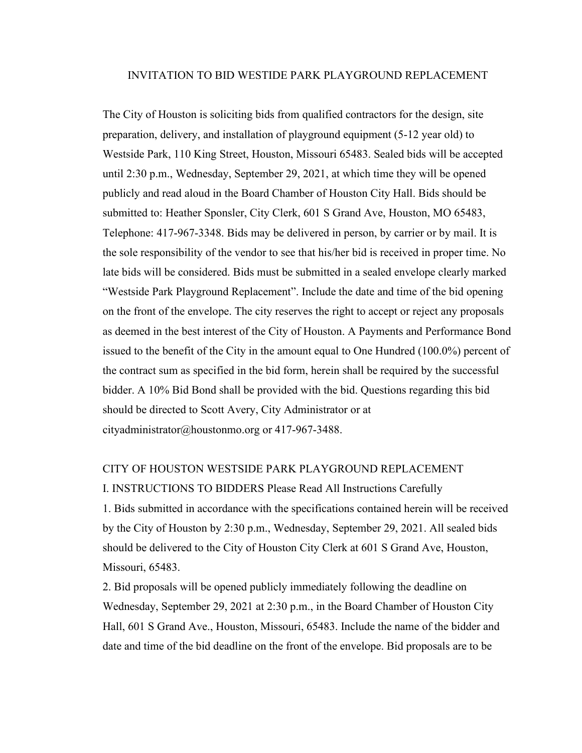#### INVITATION TO BID WESTIDE PARK PLAYGROUND REPLACEMENT

The City of Houston is soliciting bids from qualified contractors for the design, site preparation, delivery, and installation of playground equipment (5-12 year old) to Westside Park, 110 King Street, Houston, Missouri 65483. Sealed bids will be accepted until 2:30 p.m., Wednesday, September 29, 2021, at which time they will be opened publicly and read aloud in the Board Chamber of Houston City Hall. Bids should be submitted to: Heather Sponsler, City Clerk, 601 S Grand Ave, Houston, MO 65483, Telephone: 417-967-3348. Bids may be delivered in person, by carrier or by mail. It is the sole responsibility of the vendor to see that his/her bid is received in proper time. No late bids will be considered. Bids must be submitted in a sealed envelope clearly marked "Westside Park Playground Replacement". Include the date and time of the bid opening on the front of the envelope. The city reserves the right to accept or reject any proposals as deemed in the best interest of the City of Houston. A Payments and Performance Bond issued to the benefit of the City in the amount equal to One Hundred (100.0%) percent of the contract sum as specified in the bid form, herein shall be required by the successful bidder. A 10% Bid Bond shall be provided with the bid. Questions regarding this bid should be directed to Scott Avery, City Administrator or at cityadministrator@houstonmo.org or 417-967-3488.

#### CITY OF HOUSTON WESTSIDE PARK PLAYGROUND REPLACEMENT

I. INSTRUCTIONS TO BIDDERS Please Read All Instructions Carefully 1. Bids submitted in accordance with the specifications contained herein will be received by the City of Houston by 2:30 p.m., Wednesday, September 29, 2021. All sealed bids should be delivered to the City of Houston City Clerk at 601 S Grand Ave, Houston, Missouri, 65483.

2. Bid proposals will be opened publicly immediately following the deadline on Wednesday, September 29, 2021 at 2:30 p.m., in the Board Chamber of Houston City Hall, 601 S Grand Ave., Houston, Missouri, 65483. Include the name of the bidder and date and time of the bid deadline on the front of the envelope. Bid proposals are to be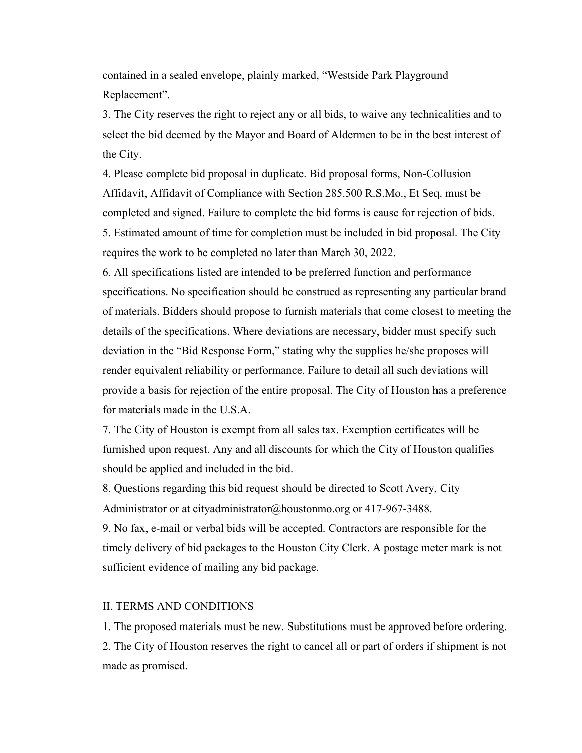contained in a sealed envelope, plainly marked, "Westside Park Playground Replacement".

3. The City reserves the right to reject any or all bids, to waive any technicalities and to select the bid deemed by the Mayor and Board of Aldermen to be in the best interest of the City.

4. Please complete bid proposal in duplicate. Bid proposal forms, Non-Collusion Affidavit, Affidavit of Compliance with Section 285.500 R.S.Mo., Et Seq. must be completed and signed. Failure to complete the bid forms is cause for rejection of bids. 5. Estimated amount of time for completion must be included in bid proposal. The City requires the work to be completed no later than March 30, 2022.

6. All specifications listed are intended to be preferred function and performance specifications. No specification should be construed as representing any particular brand of materials. Bidders should propose to furnish materials that come closest to meeting the details of the specifications. Where deviations are necessary, bidder must specify such deviation in the "Bid Response Form," stating why the supplies he/she proposes will render equivalent reliability or performance. Failure to detail all such deviations will provide a basis for rejection of the entire proposal. The City of Houston has a preference for materials made in the U.S.A.

7. The City of Houston is exempt from all sales tax. Exemption certificates will be furnished upon request. Any and all discounts for which the City of Houston qualifies should be applied and included in the bid.

8. Questions regarding this bid request should be directed to Scott Avery, City Administrator or at cityadministrator@houstonmo.org or 417-967-3488.

9. No fax, e-mail or verbal bids will be accepted. Contractors are responsible for the timely delivery of bid packages to the Houston City Clerk. A postage meter mark is not sufficient evidence of mailing any bid package.

#### II. TERMS AND CONDITIONS

1. The proposed materials must be new. Substitutions must be approved before ordering. 2. The City of Houston reserves the right to cancel all or part of orders if shipment is not made as promised.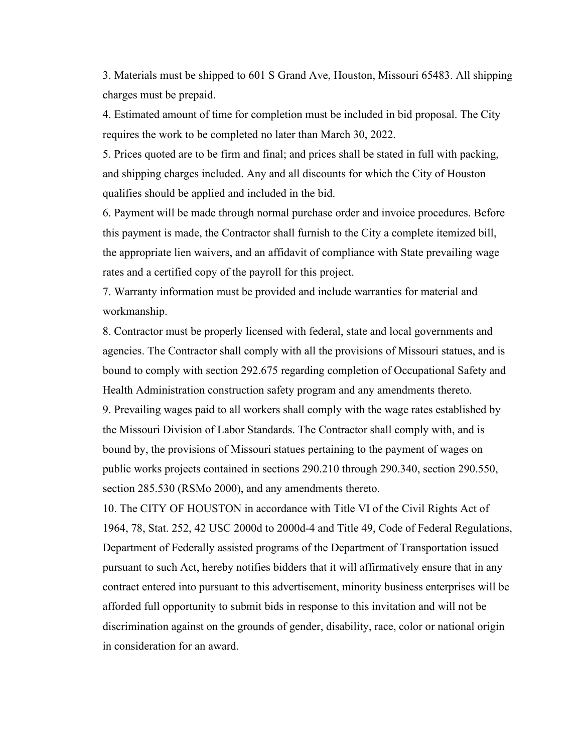3. Materials must be shipped to 601 S Grand Ave, Houston, Missouri 65483. All shipping charges must be prepaid.

4. Estimated amount of time for completion must be included in bid proposal. The City requires the work to be completed no later than March 30, 2022.

5. Prices quoted are to be firm and final; and prices shall be stated in full with packing, and shipping charges included. Any and all discounts for which the City of Houston qualifies should be applied and included in the bid.

6. Payment will be made through normal purchase order and invoice procedures. Before this payment is made, the Contractor shall furnish to the City a complete itemized bill, the appropriate lien waivers, and an affidavit of compliance with State prevailing wage rates and a certified copy of the payroll for this project.

7. Warranty information must be provided and include warranties for material and workmanship.

8. Contractor must be properly licensed with federal, state and local governments and agencies. The Contractor shall comply with all the provisions of Missouri statues, and is bound to comply with section 292.675 regarding completion of Occupational Safety and Health Administration construction safety program and any amendments thereto. 9. Prevailing wages paid to all workers shall comply with the wage rates established by the Missouri Division of Labor Standards. The Contractor shall comply with, and is bound by, the provisions of Missouri statues pertaining to the payment of wages on public works projects contained in sections 290.210 through 290.340, section 290.550, section 285.530 (RSMo 2000), and any amendments thereto.

10. The CITY OF HOUSTON in accordance with Title VI of the Civil Rights Act of 1964, 78, Stat. 252, 42 USC 2000d to 2000d-4 and Title 49, Code of Federal Regulations, Department of Federally assisted programs of the Department of Transportation issued pursuant to such Act, hereby notifies bidders that it will affirmatively ensure that in any contract entered into pursuant to this advertisement, minority business enterprises will be afforded full opportunity to submit bids in response to this invitation and will not be discrimination against on the grounds of gender, disability, race, color or national origin in consideration for an award.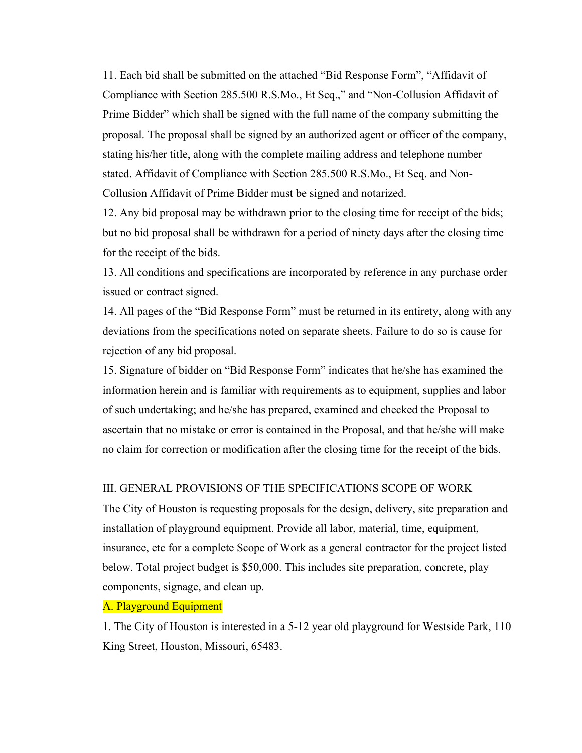11. Each bid shall be submitted on the attached "Bid Response Form", "Affidavit of Compliance with Section 285.500 R.S.Mo., Et Seq.," and "Non-Collusion Affidavit of Prime Bidder" which shall be signed with the full name of the company submitting the proposal. The proposal shall be signed by an authorized agent or officer of the company, stating his/her title, along with the complete mailing address and telephone number stated. Affidavit of Compliance with Section 285.500 R.S.Mo., Et Seq. and Non-Collusion Affidavit of Prime Bidder must be signed and notarized.

12. Any bid proposal may be withdrawn prior to the closing time for receipt of the bids; but no bid proposal shall be withdrawn for a period of ninety days after the closing time for the receipt of the bids.

13. All conditions and specifications are incorporated by reference in any purchase order issued or contract signed.

14. All pages of the "Bid Response Form" must be returned in its entirety, along with any deviations from the specifications noted on separate sheets. Failure to do so is cause for rejection of any bid proposal.

15. Signature of bidder on "Bid Response Form" indicates that he/she has examined the information herein and is familiar with requirements as to equipment, supplies and labor of such undertaking; and he/she has prepared, examined and checked the Proposal to ascertain that no mistake or error is contained in the Proposal, and that he/she will make no claim for correction or modification after the closing time for the receipt of the bids.

### III. GENERAL PROVISIONS OF THE SPECIFICATIONS SCOPE OF WORK

The City of Houston is requesting proposals for the design, delivery, site preparation and installation of playground equipment. Provide all labor, material, time, equipment, insurance, etc for a complete Scope of Work as a general contractor for the project listed below. Total project budget is \$50,000. This includes site preparation, concrete, play components, signage, and clean up.

## A. Playground Equipment

1. The City of Houston is interested in a 5-12 year old playground for Westside Park, 110 King Street, Houston, Missouri, 65483.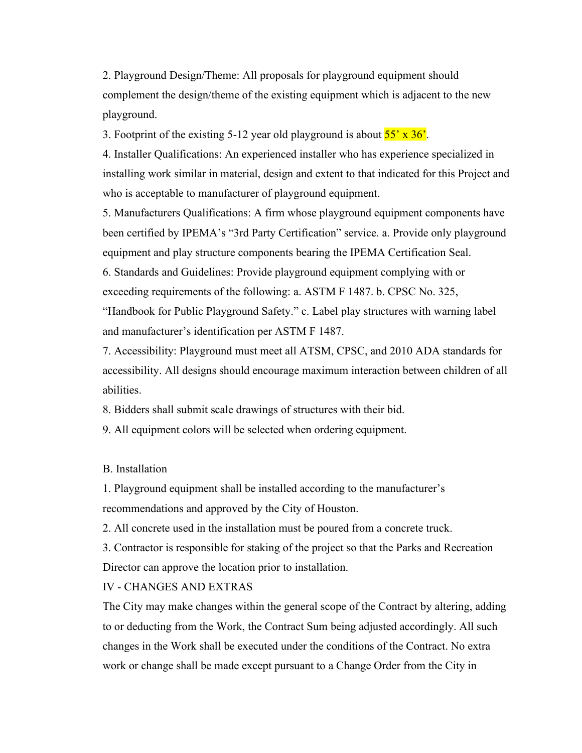2. Playground Design/Theme: All proposals for playground equipment should complement the design/theme of the existing equipment which is adjacent to the new playground.

3. Footprint of the existing 5-12 year old playground is about  $55' \times 36'$ .

4. Installer Qualifications: An experienced installer who has experience specialized in installing work similar in material, design and extent to that indicated for this Project and who is acceptable to manufacturer of playground equipment.

5. Manufacturers Qualifications: A firm whose playground equipment components have been certified by IPEMA's "3rd Party Certification" service. a. Provide only playground equipment and play structure components bearing the IPEMA Certification Seal.

6. Standards and Guidelines: Provide playground equipment complying with or exceeding requirements of the following: a. ASTM F 1487. b. CPSC No. 325,

"Handbook for Public Playground Safety." c. Label play structures with warning label and manufacturer's identification per ASTM F 1487.

7. Accessibility: Playground must meet all ATSM, CPSC, and 2010 ADA standards for accessibility. All designs should encourage maximum interaction between children of all abilities.

8. Bidders shall submit scale drawings of structures with their bid.

9. All equipment colors will be selected when ordering equipment.

B. Installation

1. Playground equipment shall be installed according to the manufacturer's recommendations and approved by the City of Houston.

2. All concrete used in the installation must be poured from a concrete truck.

3. Contractor is responsible for staking of the project so that the Parks and Recreation Director can approve the location prior to installation.

IV - CHANGES AND EXTRAS

The City may make changes within the general scope of the Contract by altering, adding to or deducting from the Work, the Contract Sum being adjusted accordingly. All such changes in the Work shall be executed under the conditions of the Contract. No extra work or change shall be made except pursuant to a Change Order from the City in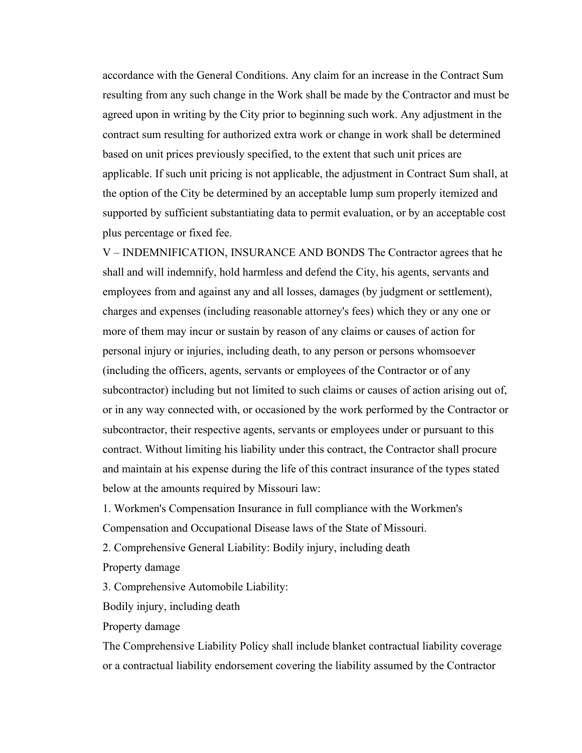accordance with the General Conditions. Any claim for an increase in the Contract Sum resulting from any such change in the Work shall be made by the Contractor and must be agreed upon in writing by the City prior to beginning such work. Any adjustment in the contract sum resulting for authorized extra work or change in work shall be determined based on unit prices previously specified, to the extent that such unit prices are applicable. If such unit pricing is not applicable, the adjustment in Contract Sum shall, at the option of the City be determined by an acceptable lump sum properly itemized and supported by sufficient substantiating data to permit evaluation, or by an acceptable cost plus percentage or fixed fee.

V – INDEMNIFICATION, INSURANCE AND BONDS The Contractor agrees that he shall and will indemnify, hold harmless and defend the City, his agents, servants and employees from and against any and all losses, damages (by judgment or settlement), charges and expenses (including reasonable attorney's fees) which they or any one or more of them may incur or sustain by reason of any claims or causes of action for personal injury or injuries, including death, to any person or persons whomsoever (including the officers, agents, servants or employees of the Contractor or of any subcontractor) including but not limited to such claims or causes of action arising out of, or in any way connected with, or occasioned by the work performed by the Contractor or subcontractor, their respective agents, servants or employees under or pursuant to this contract. Without limiting his liability under this contract, the Contractor shall procure and maintain at his expense during the life of this contract insurance of the types stated below at the amounts required by Missouri law:

1. Workmen's Compensation Insurance in full compliance with the Workmen's

Compensation and Occupational Disease laws of the State of Missouri.

2. Comprehensive General Liability: Bodily injury, including death

Property damage

3. Comprehensive Automobile Liability:

Bodily injury, including death

Property damage

The Comprehensive Liability Policy shall include blanket contractual liability coverage or a contractual liability endorsement covering the liability assumed by the Contractor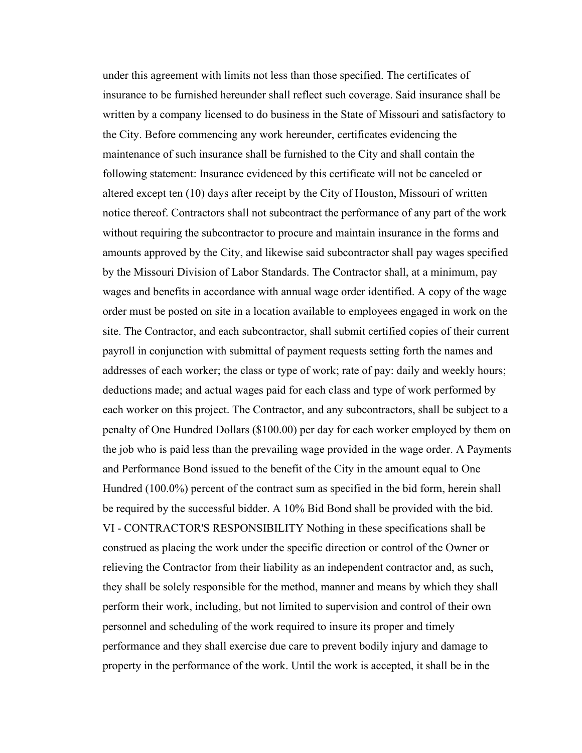under this agreement with limits not less than those specified. The certificates of insurance to be furnished hereunder shall reflect such coverage. Said insurance shall be written by a company licensed to do business in the State of Missouri and satisfactory to the City. Before commencing any work hereunder, certificates evidencing the maintenance of such insurance shall be furnished to the City and shall contain the following statement: Insurance evidenced by this certificate will not be canceled or altered except ten (10) days after receipt by the City of Houston, Missouri of written notice thereof. Contractors shall not subcontract the performance of any part of the work without requiring the subcontractor to procure and maintain insurance in the forms and amounts approved by the City, and likewise said subcontractor shall pay wages specified by the Missouri Division of Labor Standards. The Contractor shall, at a minimum, pay wages and benefits in accordance with annual wage order identified. A copy of the wage order must be posted on site in a location available to employees engaged in work on the site. The Contractor, and each subcontractor, shall submit certified copies of their current payroll in conjunction with submittal of payment requests setting forth the names and addresses of each worker; the class or type of work; rate of pay: daily and weekly hours; deductions made; and actual wages paid for each class and type of work performed by each worker on this project. The Contractor, and any subcontractors, shall be subject to a penalty of One Hundred Dollars (\$100.00) per day for each worker employed by them on the job who is paid less than the prevailing wage provided in the wage order. A Payments and Performance Bond issued to the benefit of the City in the amount equal to One Hundred (100.0%) percent of the contract sum as specified in the bid form, herein shall be required by the successful bidder. A 10% Bid Bond shall be provided with the bid. VI - CONTRACTOR'S RESPONSIBILITY Nothing in these specifications shall be construed as placing the work under the specific direction or control of the Owner or relieving the Contractor from their liability as an independent contractor and, as such, they shall be solely responsible for the method, manner and means by which they shall perform their work, including, but not limited to supervision and control of their own personnel and scheduling of the work required to insure its proper and timely performance and they shall exercise due care to prevent bodily injury and damage to property in the performance of the work. Until the work is accepted, it shall be in the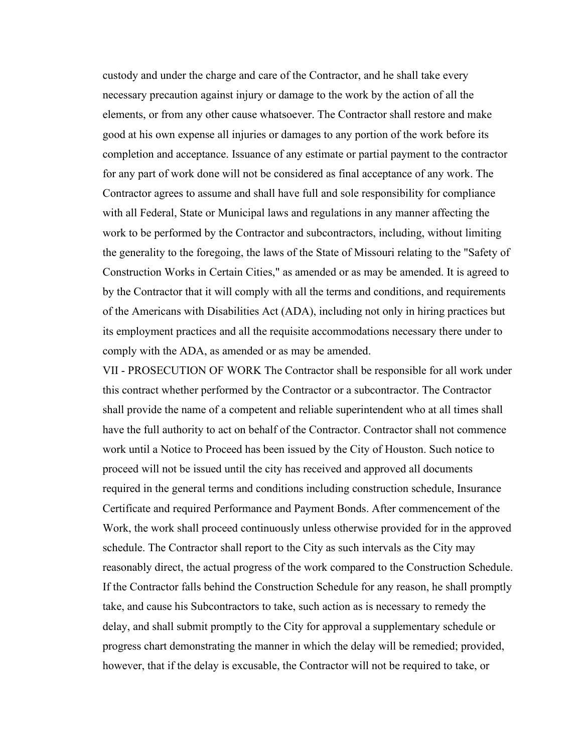custody and under the charge and care of the Contractor, and he shall take every necessary precaution against injury or damage to the work by the action of all the elements, or from any other cause whatsoever. The Contractor shall restore and make good at his own expense all injuries or damages to any portion of the work before its completion and acceptance. Issuance of any estimate or partial payment to the contractor for any part of work done will not be considered as final acceptance of any work. The Contractor agrees to assume and shall have full and sole responsibility for compliance with all Federal, State or Municipal laws and regulations in any manner affecting the work to be performed by the Contractor and subcontractors, including, without limiting the generality to the foregoing, the laws of the State of Missouri relating to the "Safety of Construction Works in Certain Cities," as amended or as may be amended. It is agreed to by the Contractor that it will comply with all the terms and conditions, and requirements of the Americans with Disabilities Act (ADA), including not only in hiring practices but its employment practices and all the requisite accommodations necessary there under to comply with the ADA, as amended or as may be amended.

VII - PROSECUTION OF WORK The Contractor shall be responsible for all work under this contract whether performed by the Contractor or a subcontractor. The Contractor shall provide the name of a competent and reliable superintendent who at all times shall have the full authority to act on behalf of the Contractor. Contractor shall not commence work until a Notice to Proceed has been issued by the City of Houston. Such notice to proceed will not be issued until the city has received and approved all documents required in the general terms and conditions including construction schedule, Insurance Certificate and required Performance and Payment Bonds. After commencement of the Work, the work shall proceed continuously unless otherwise provided for in the approved schedule. The Contractor shall report to the City as such intervals as the City may reasonably direct, the actual progress of the work compared to the Construction Schedule. If the Contractor falls behind the Construction Schedule for any reason, he shall promptly take, and cause his Subcontractors to take, such action as is necessary to remedy the delay, and shall submit promptly to the City for approval a supplementary schedule or progress chart demonstrating the manner in which the delay will be remedied; provided, however, that if the delay is excusable, the Contractor will not be required to take, or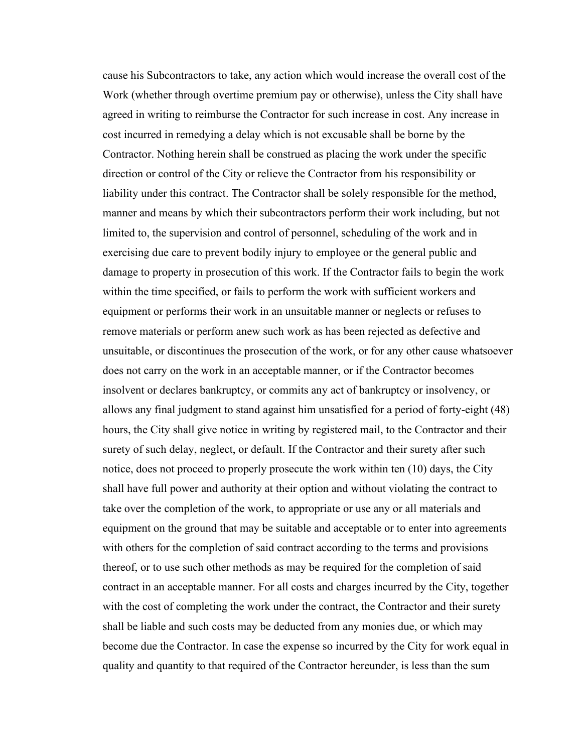cause his Subcontractors to take, any action which would increase the overall cost of the Work (whether through overtime premium pay or otherwise), unless the City shall have agreed in writing to reimburse the Contractor for such increase in cost. Any increase in cost incurred in remedying a delay which is not excusable shall be borne by the Contractor. Nothing herein shall be construed as placing the work under the specific direction or control of the City or relieve the Contractor from his responsibility or liability under this contract. The Contractor shall be solely responsible for the method, manner and means by which their subcontractors perform their work including, but not limited to, the supervision and control of personnel, scheduling of the work and in exercising due care to prevent bodily injury to employee or the general public and damage to property in prosecution of this work. If the Contractor fails to begin the work within the time specified, or fails to perform the work with sufficient workers and equipment or performs their work in an unsuitable manner or neglects or refuses to remove materials or perform anew such work as has been rejected as defective and unsuitable, or discontinues the prosecution of the work, or for any other cause whatsoever does not carry on the work in an acceptable manner, or if the Contractor becomes insolvent or declares bankruptcy, or commits any act of bankruptcy or insolvency, or allows any final judgment to stand against him unsatisfied for a period of forty-eight (48) hours, the City shall give notice in writing by registered mail, to the Contractor and their surety of such delay, neglect, or default. If the Contractor and their surety after such notice, does not proceed to properly prosecute the work within ten (10) days, the City shall have full power and authority at their option and without violating the contract to take over the completion of the work, to appropriate or use any or all materials and equipment on the ground that may be suitable and acceptable or to enter into agreements with others for the completion of said contract according to the terms and provisions thereof, or to use such other methods as may be required for the completion of said contract in an acceptable manner. For all costs and charges incurred by the City, together with the cost of completing the work under the contract, the Contractor and their surety shall be liable and such costs may be deducted from any monies due, or which may become due the Contractor. In case the expense so incurred by the City for work equal in quality and quantity to that required of the Contractor hereunder, is less than the sum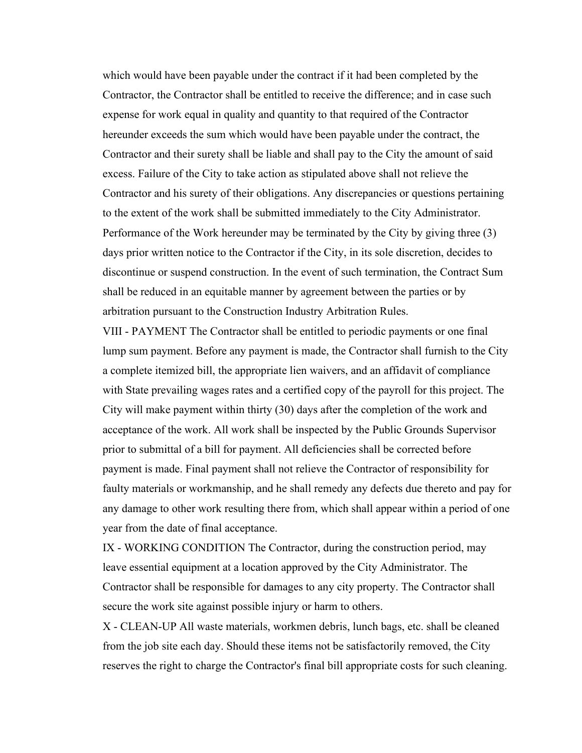which would have been payable under the contract if it had been completed by the Contractor, the Contractor shall be entitled to receive the difference; and in case such expense for work equal in quality and quantity to that required of the Contractor hereunder exceeds the sum which would have been payable under the contract, the Contractor and their surety shall be liable and shall pay to the City the amount of said excess. Failure of the City to take action as stipulated above shall not relieve the Contractor and his surety of their obligations. Any discrepancies or questions pertaining to the extent of the work shall be submitted immediately to the City Administrator. Performance of the Work hereunder may be terminated by the City by giving three (3) days prior written notice to the Contractor if the City, in its sole discretion, decides to discontinue or suspend construction. In the event of such termination, the Contract Sum shall be reduced in an equitable manner by agreement between the parties or by arbitration pursuant to the Construction Industry Arbitration Rules.

VIII - PAYMENT The Contractor shall be entitled to periodic payments or one final lump sum payment. Before any payment is made, the Contractor shall furnish to the City a complete itemized bill, the appropriate lien waivers, and an affidavit of compliance with State prevailing wages rates and a certified copy of the payroll for this project. The City will make payment within thirty (30) days after the completion of the work and acceptance of the work. All work shall be inspected by the Public Grounds Supervisor prior to submittal of a bill for payment. All deficiencies shall be corrected before payment is made. Final payment shall not relieve the Contractor of responsibility for faulty materials or workmanship, and he shall remedy any defects due thereto and pay for any damage to other work resulting there from, which shall appear within a period of one year from the date of final acceptance.

IX - WORKING CONDITION The Contractor, during the construction period, may leave essential equipment at a location approved by the City Administrator. The Contractor shall be responsible for damages to any city property. The Contractor shall secure the work site against possible injury or harm to others.

X - CLEAN-UP All waste materials, workmen debris, lunch bags, etc. shall be cleaned from the job site each day. Should these items not be satisfactorily removed, the City reserves the right to charge the Contractor's final bill appropriate costs for such cleaning.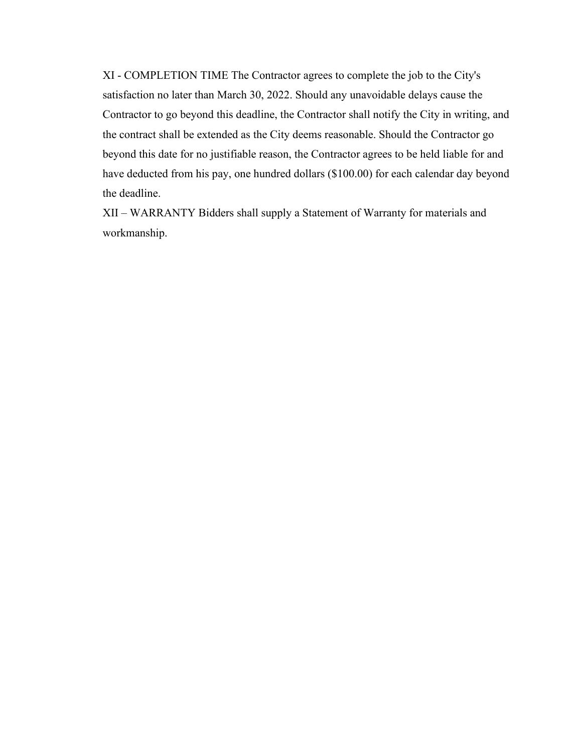XI - COMPLETION TIME The Contractor agrees to complete the job to the City's satisfaction no later than March 30, 2022. Should any unavoidable delays cause the Contractor to go beyond this deadline, the Contractor shall notify the City in writing, and the contract shall be extended as the City deems reasonable. Should the Contractor go beyond this date for no justifiable reason, the Contractor agrees to be held liable for and have deducted from his pay, one hundred dollars (\$100.00) for each calendar day beyond the deadline.

XII – WARRANTY Bidders shall supply a Statement of Warranty for materials and workmanship.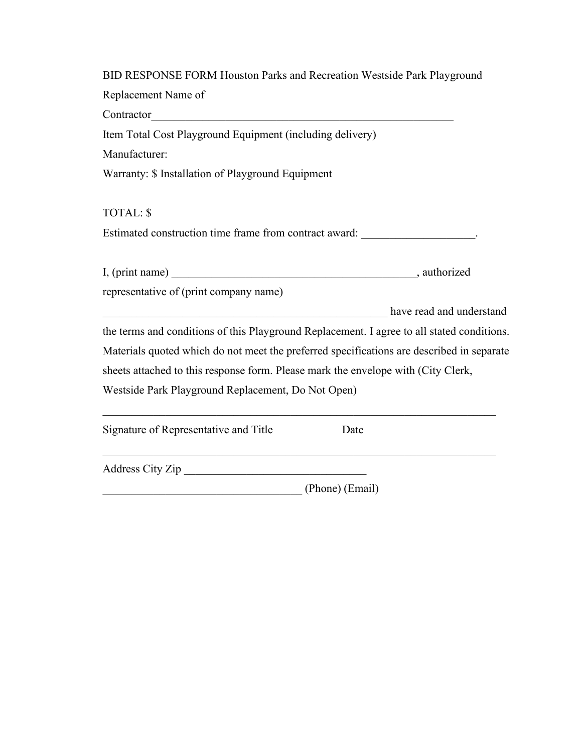| BID RESPONSE FORM Houston Parks and Recreation Westside Park Playground                                                              |
|--------------------------------------------------------------------------------------------------------------------------------------|
| Replacement Name of                                                                                                                  |
| Contractor<br><u> 1989 - Johann Stoff, deutscher Stoffen und der Stoffen und der Stoffen und der Stoffen und der Stoffen und der</u> |
| Item Total Cost Playground Equipment (including delivery)                                                                            |
| Manufacturer:                                                                                                                        |
| Warranty: \$ Installation of Playground Equipment                                                                                    |
| <b>TOTAL: \$</b>                                                                                                                     |
| Estimated construction time frame from contract award:                                                                               |
|                                                                                                                                      |
| representative of (print company name)                                                                                               |
| have read and understand                                                                                                             |
| the terms and conditions of this Playground Replacement. I agree to all stated conditions.                                           |
| Materials quoted which do not meet the preferred specifications are described in separate                                            |
| sheets attached to this response form. Please mark the envelope with (City Clerk,                                                    |
| Westside Park Playground Replacement, Do Not Open)                                                                                   |
| Signature of Representative and Title<br>Date                                                                                        |
| Address City Zip                                                                                                                     |

\_\_\_\_\_\_\_\_\_\_\_\_\_\_\_\_\_\_\_\_\_\_\_\_\_\_\_\_\_\_\_\_\_\_\_ (Phone) (Email)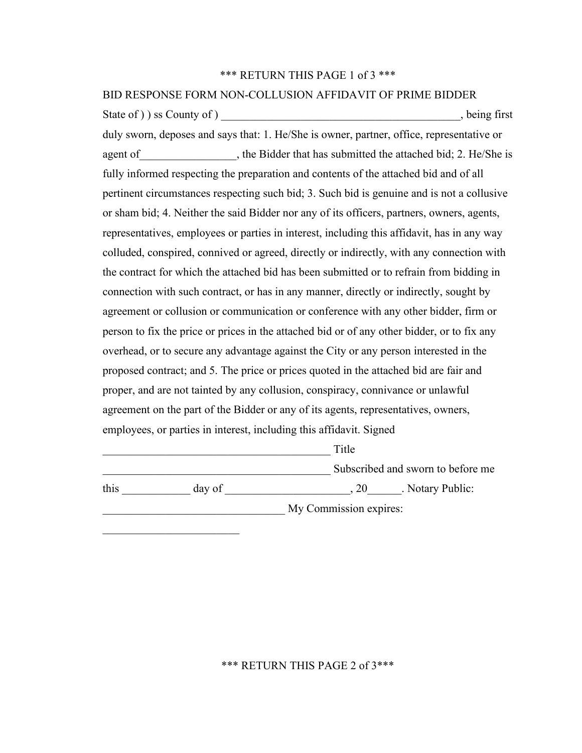#### \*\*\* RETURN THIS PAGE 1 of 3 \*\*\*

# BID RESPONSE FORM NON-COLLUSION AFFIDAVIT OF PRIME BIDDER State of ) ) ss County of )  $\blacksquare$ duly sworn, deposes and says that: 1. He/She is owner, partner, office, representative or agent of example is the Bidder that has submitted the attached bid; 2. He/She is fully informed respecting the preparation and contents of the attached bid and of all pertinent circumstances respecting such bid; 3. Such bid is genuine and is not a collusive or sham bid; 4. Neither the said Bidder nor any of its officers, partners, owners, agents, representatives, employees or parties in interest, including this affidavit, has in any way colluded, conspired, connived or agreed, directly or indirectly, with any connection with the contract for which the attached bid has been submitted or to refrain from bidding in connection with such contract, or has in any manner, directly or indirectly, sought by agreement or collusion or communication or conference with any other bidder, firm or person to fix the price or prices in the attached bid or of any other bidder, or to fix any overhead, or to secure any advantage against the City or any person interested in the proposed contract; and 5. The price or prices quoted in the attached bid are fair and proper, and are not tainted by any collusion, conspiracy, connivance or unlawful agreement on the part of the Bidder or any of its agents, representatives, owners, employees, or parties in interest, including this affidavit. Signed  $\Box$  Title

**Subscribed and sworn to before me** 

this day of  $\qquad \qquad \text{day of}$  , 20  $\qquad \text{Notary Public:}$ 

My Commission expires:

\*\*\* RETURN THIS PAGE 2 of 3\*\*\*